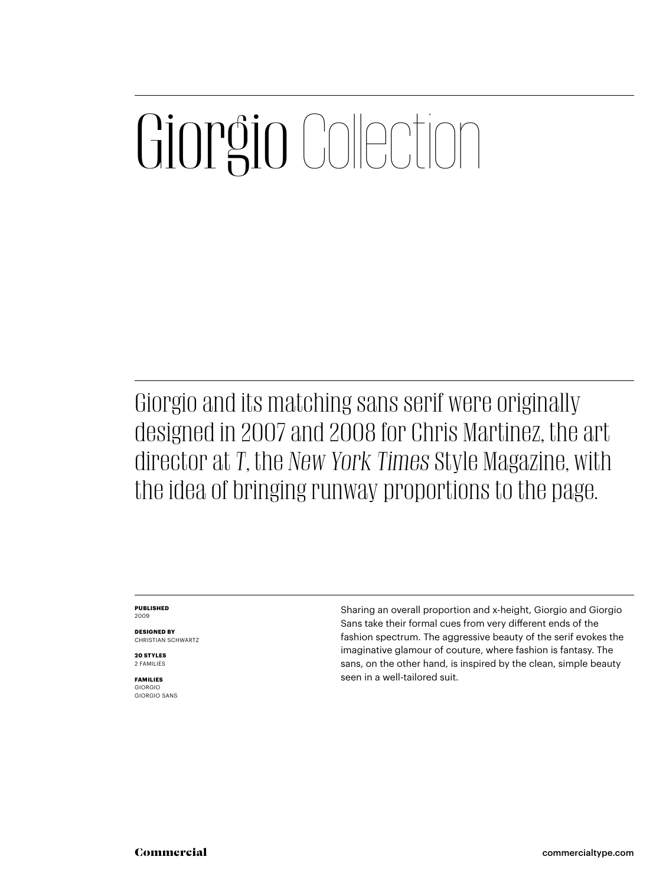### Giorgio Collection

Giorgio and its matching sans serif were originally designed in 2007 and 2008 for Chris Martinez, the art director at *T*, the *New York Times* Style Magazine, with the idea of bringing runway proportions to the page.

#### **PUBLISHED** 2009

**DESIGNED BY** CHRISTIAN SCHWARTZ

**20 STYLES** 2 FAMILIES

**FAMILIES** GIORGIO GIORGIO SANS Sharing an overall proportion and x-height, Giorgio and Giorgio Sans take their formal cues from very different ends of the fashion spectrum. The aggressive beauty of the serif evokes the imaginative glamour of couture, where fashion is fantasy. The sans, on the other hand, is inspired by the clean, simple beauty seen in a well-tailored suit.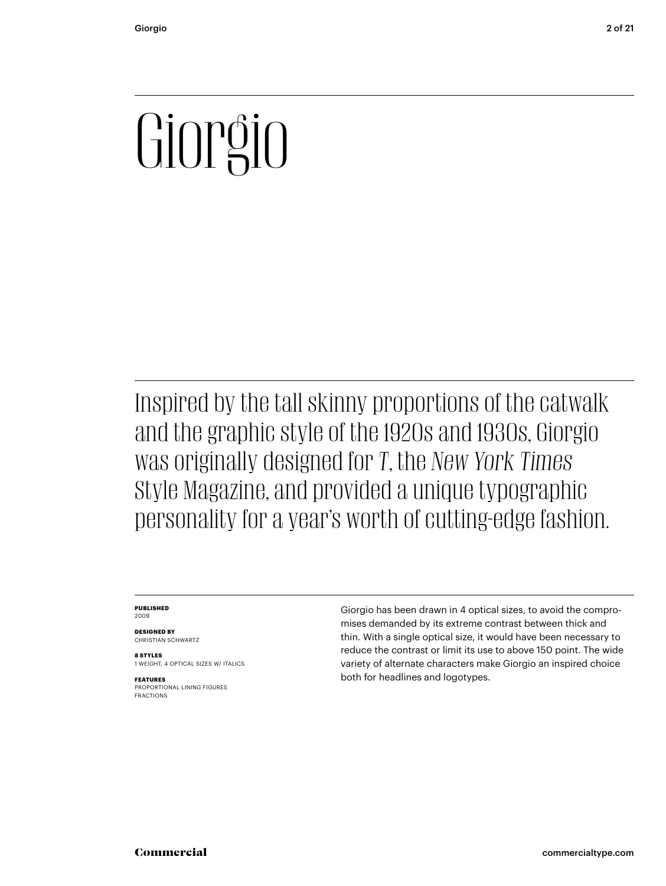# $\overline{\mathsf{C}}$

Inspired by the tall skinny proportions of the catwalk and the graphic style of the 1920s and 1930s, Giorgio was originally designed for *T*, the *New York Times* Style Magazine, and provided a unique typographic personality for a year's worth of cutting-edge fashion.

#### **PUBLISHED** 2009

**DESIGNED BY** CHRISTIAN SCHWARTZ

**8 STYLES** 1 WEIGHT, 4 OPTICAL SIZES W/ ITALICS

**FEATURES** PROPORTIONAL LINING FIGURES FRACTIONS

Giorgio has been drawn in 4 optical sizes, to avoid the compromises demanded by its extreme contrast between thick and thin. With a single optical size, it would have been necessary to reduce the contrast or limit its use to above 150 point. The wide variety of alternate characters make Giorgio an inspired choice both for headlines and logotypes.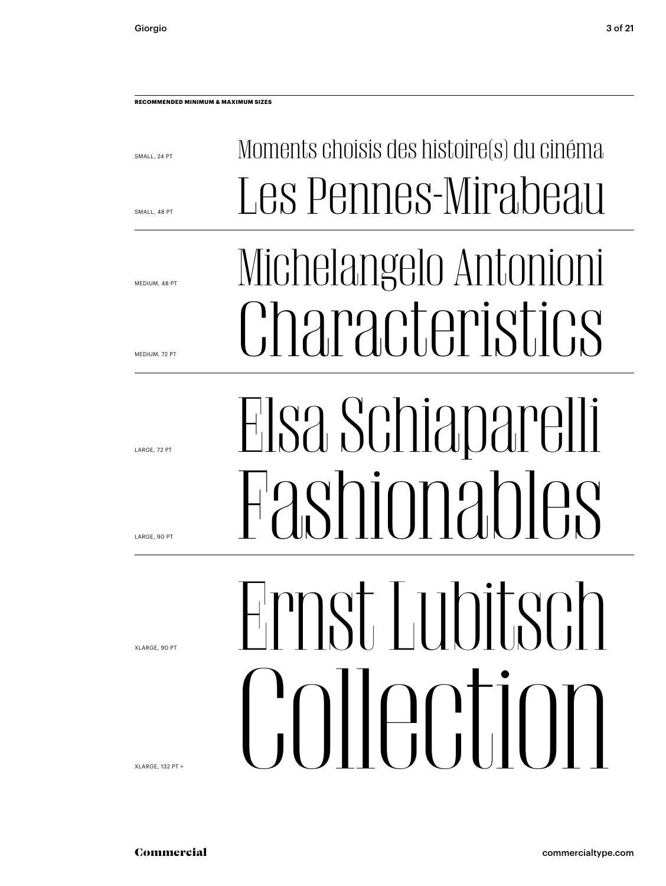SMALL, 24 PT

SMALL, 48 PT

MEDIUM, 48 PT

MEDIUM, 72 PT

LARGE, 72 PT

LARGE, 90 PT

XLARGE, 90 PT

XLARGE, 132 PT +

Elsa Schiaparelli

Moments choisis des histoire(s) du cinéma

Les Pennes-Mirabeau

Michelangelo Antonioni

Characteristics

Himst Lubitsch Ernst Lubitsch Commercialtype<br>Commercialtype<br>Commercialtype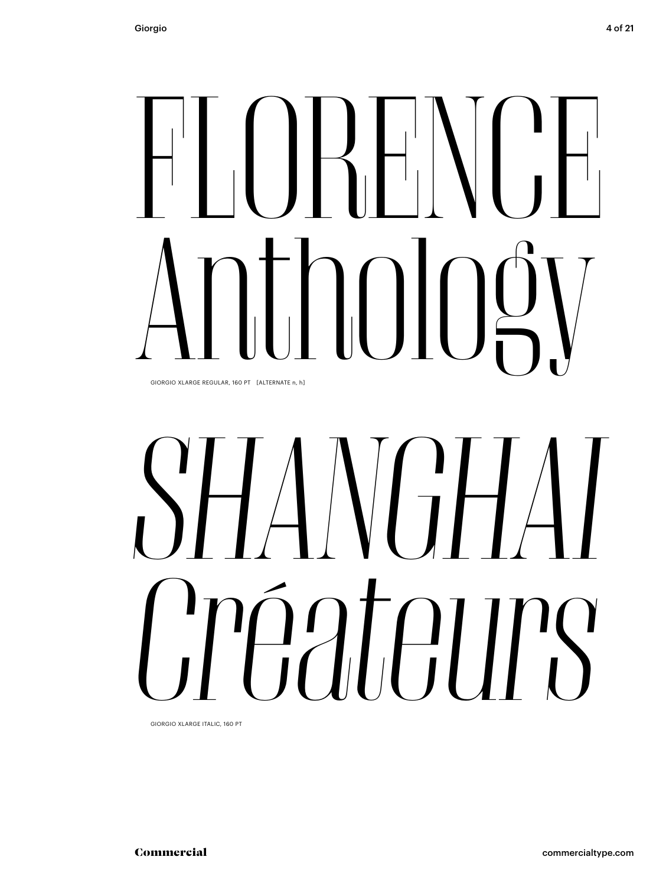## $\prod_{i=1}^{n}$ TONN GIORGIO XLARGE REGULAR, 160 PT [ALTERNATE n, h]

## OIORGIO XLARGE REGULAR, 160 PT [ALTERNATE n, h] *SHANGHAI Créateurs*

GIORGIO XLARGE ITALIC, 160 PT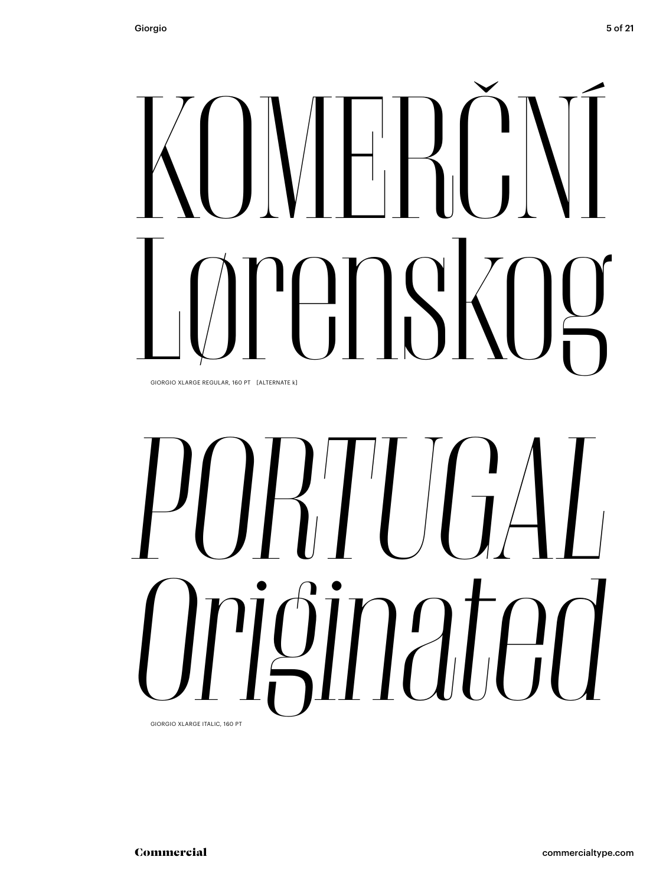### $H_1$  $\left\{ \right. \right\}$ KOMERČNÍ GIORGIO XLARGE REGULAR, 160 PT [ALTERNATE k]

# OORGIO XLARGE REGULAR, 160 PT LALTERNATE KJ *PORTUGAL Originated*

GIORGIO XLARGE ITALIC, 160 PT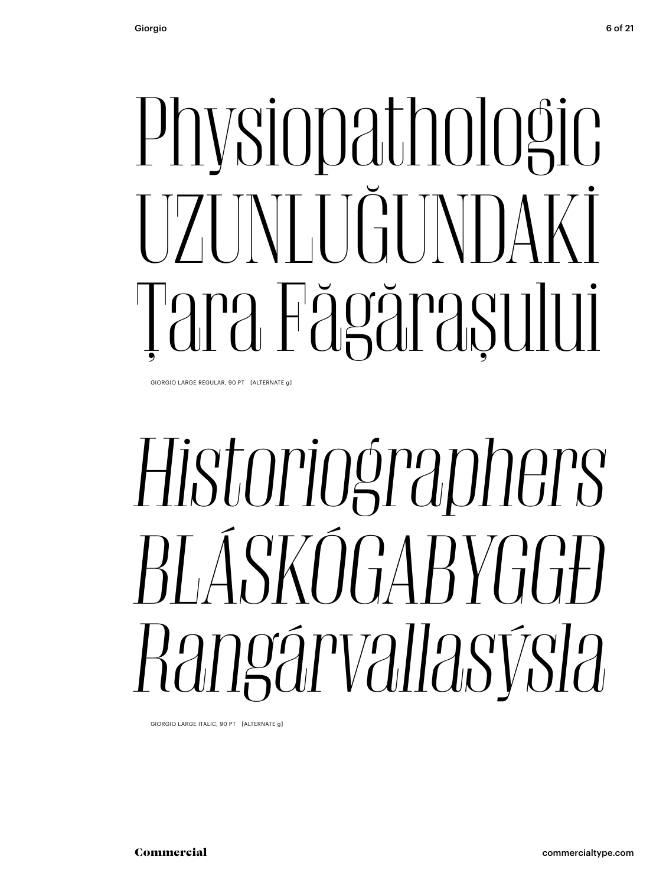# Physiopathologic<br>T7TNTTGUNDAKİ Tara Fägğraşului

GIORGIO LARGE REGULAR, 90 PT [ALTERNATE g]

### Historiographers *Historiographers BLÁSKÓGABYGGÐ Rangárvallasýsla*

GIORGIO LARGE ITALIC, 90 PT [ALTERNATE g]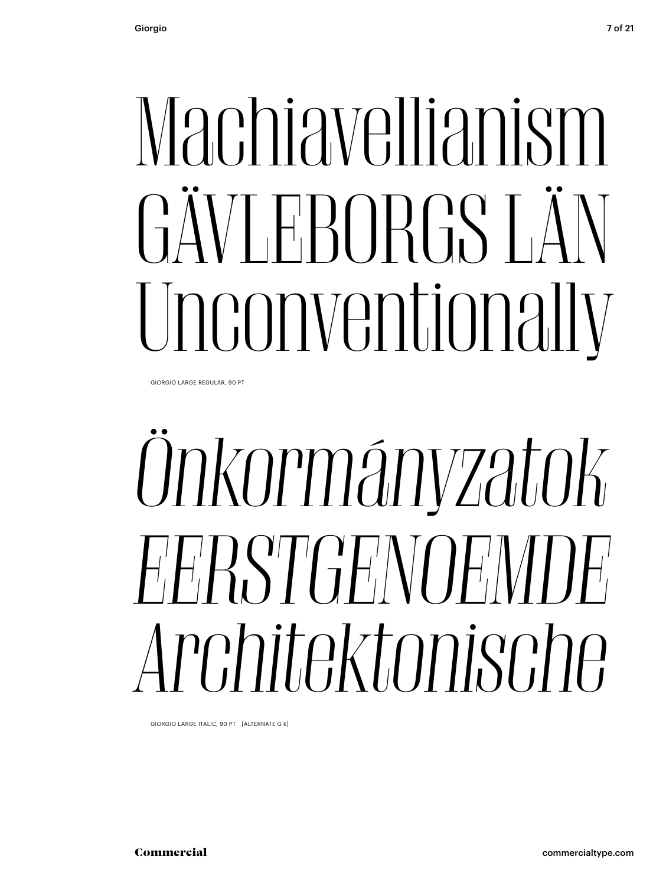## Machiavellianism GÄVLEBORGS LÄN Unconventionally

GIORGIO LARGE REGULAR, 90 PT

### Onkormányzatok *Önkormányzatok EERSTGENOEMDE Architekture Sopri (ALTERNATE G k)*<br>*Architektonische ITALIC, 90 PT (ALTERNATE G k)*

GIORGIO LARGE ITALIC, 90 PT [ALTERNATE G k]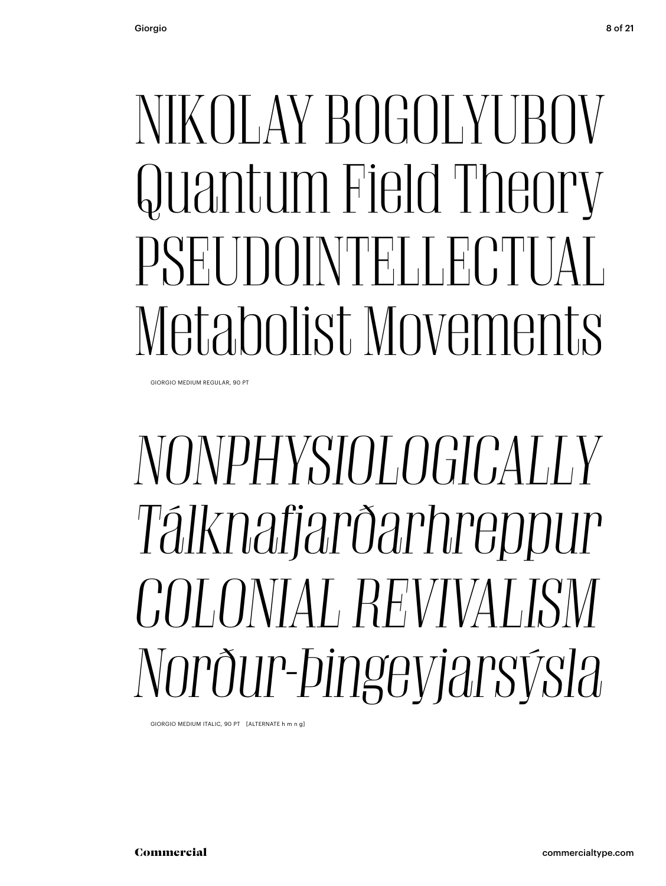#### NIKOLAY BOGOLYUBOV Quantum Field Theory PSEUDOINTELLECTUAL Metabolist Movements

GIORGIO MEDIUM REGULAR, 90 PT

#### NONPHYSIOLOGICALLY *Tálknafjarðarhreppur Tálknafjarðarhreppur COLONIAL REVIVALISM Nordur-Pillet Computer Computer Computer Computer Computer Computer Computer Computer Computer Computer Computer Computer Computer Computer Computer Computer Computer Computer Computer Computer Computer Computer Computer*

GIORGIO MEDIUM ITALIC, 90 PT [ALTERNATE h m n g]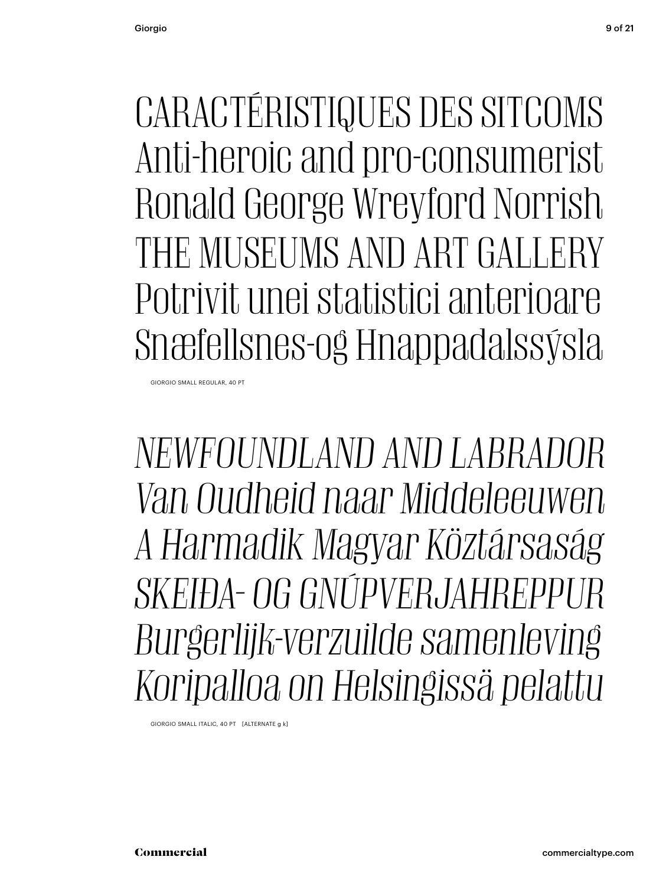CARACTÉRISTIQUES DES SITCOMS Anti-heroic and pro-consumerist Ronald George Wreyford Norrish THE MUSEUMS AND ART GALLERY Potrivit unei statistici anterioare Snæfellsnes-og Hnappadalssýsla

GIORGIO SMALL REGULAR, 40 PT

*NEWFOUNDLAND AND LABRADOR Van Oudheid naar Middeleeuwen A Harmadik Magyar Köztársaság SKEIÐA- OG GNÚPVERJAHREPPUR Burgerlijk-verzuilde samenleving Koripalloa on Helsingissä pelattu*

GIORGIO SMALL ITALIC, 40 PT [ALTERNATE g k]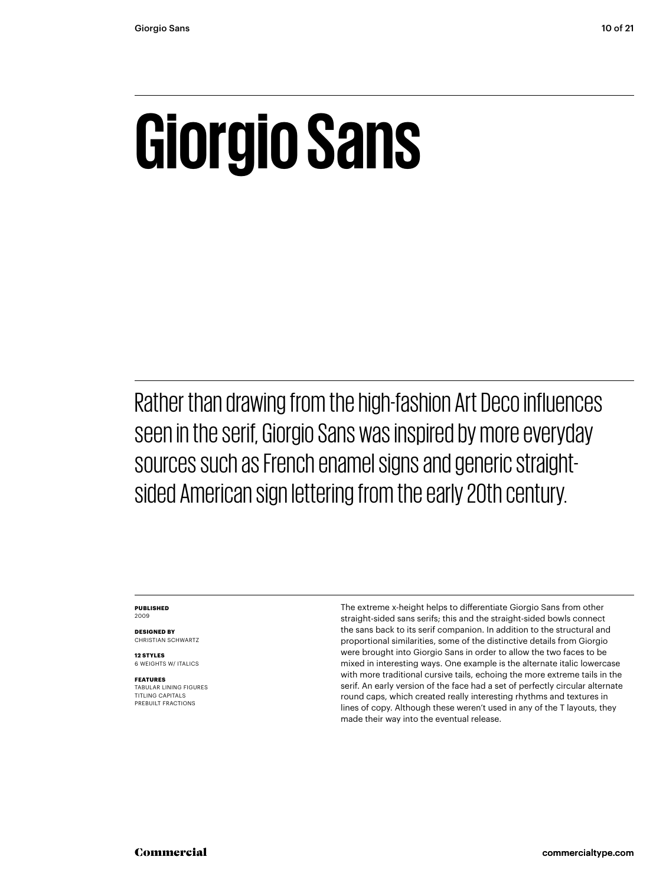### **Giorgio Sans**

Rather than drawing from the high-fashion Art Deco influences seen in the serif, Giorgio Sans was inspired by more everyday sources such as French enamel signs and generic straightsided American sign lettering from the early 20th century.

#### **PUBLISHED** 2009

**DESIGNED BY** CHRISTIAN SCHWARTZ

**12 STYLES** 6 WEIGHTS W/ ITALICS

**FEATURES** TABULAR LINING FIGURES TITLING CAPITALS PREBUILT FRACTIONS

The extreme x-height helps to differentiate Giorgio Sans from other straight-sided sans serifs; this and the straight-sided bowls connect the sans back to its serif companion. In addition to the structural and proportional similarities, some of the distinctive details from Giorgio were brought into Giorgio Sans in order to allow the two faces to be mixed in interesting ways. One example is the alternate italic lowercase with more traditional cursive tails, echoing the more extreme tails in the serif. An early version of the face had a set of perfectly circular alternate round caps, which created really interesting rhythms and textures in lines of copy. Although these weren't used in any of the T layouts, they made their way into the eventual release.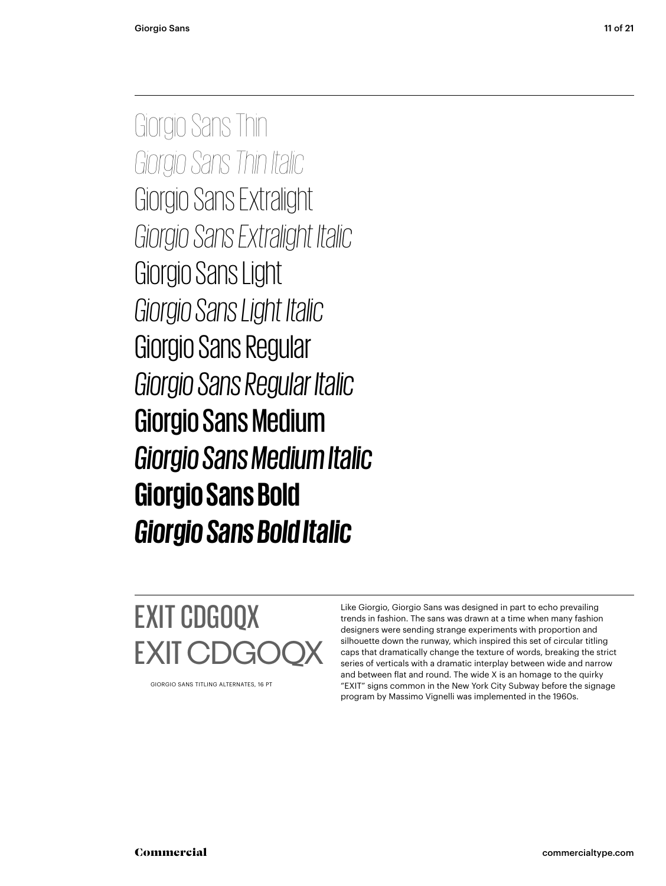Giorgio Sans Thin *Giorgio Sans Thin Italic* Giorgio Sans Extralight<br>Giorgio Sans Extralight Italic *Giorgio Sans Extralight Italic* Giorgio Sans Light *Giorgio Sans Light Italic* Giorgio Sans Regular *Giorgio Sans Regular Italic* Giorgio Sans Medium *Giorgio Sans Medium Italic* **Giorgio Sans Bold** *Giorgio Sans Bold Italic*

EXIT CDGOQX EXIT CI

GIORGIO SANS TITLING ALTERNATES, 16 PT

Like Giorgio, Giorgio Sans was designed in part to echo prevailing trends in fashion. The sans was drawn at a time when many fashion designers were sending strange experiments with proportion and silhouette down the runway, which inspired this set of circular titling caps that dramatically change the texture of words, breaking the strict series of verticals with a dramatic interplay between wide and narrow and between flat and round. The wide X is an homage to the quirky "EXIT" signs common in the New York City Subway before the signage program by Massimo Vignelli was implemented in the 1960s.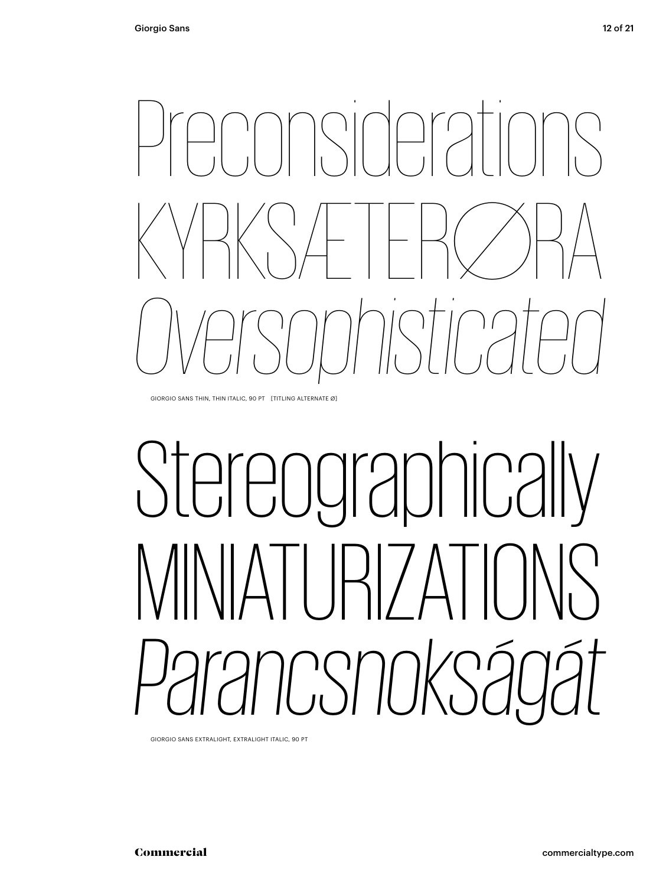

GIORGIO SANS THIN, THIN ITALIC, 90 PT [TITLING ALTERNATE Ø]

# Stereographically<br>MNIATI IRI7ATIONS 1CSNOKS20 *PARANCH CONSIDERITY EXTRALIGHT ITALIC, 90 PT<br> PARAMCIA*

GIORGIO SANS EXTRALIGHT, EXTRALIGHT ITALIC, 90 PT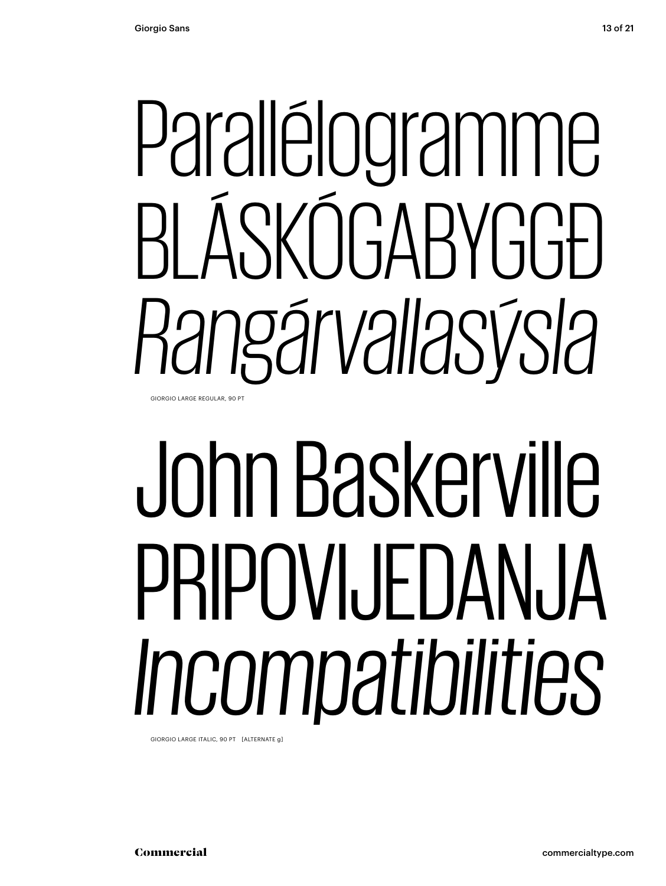#### Parallélogramme RI ÁSKÓGABYGGÐ *Rangárvallasýsla* GIORGIO LARGE REGULAR, 90 PT

John Baskerville PRIPOVIJEDANJA *Incompatibilities*

GIORGIO LARGE ITALIC, 90 PT [ALTERNATE g]

13 of 21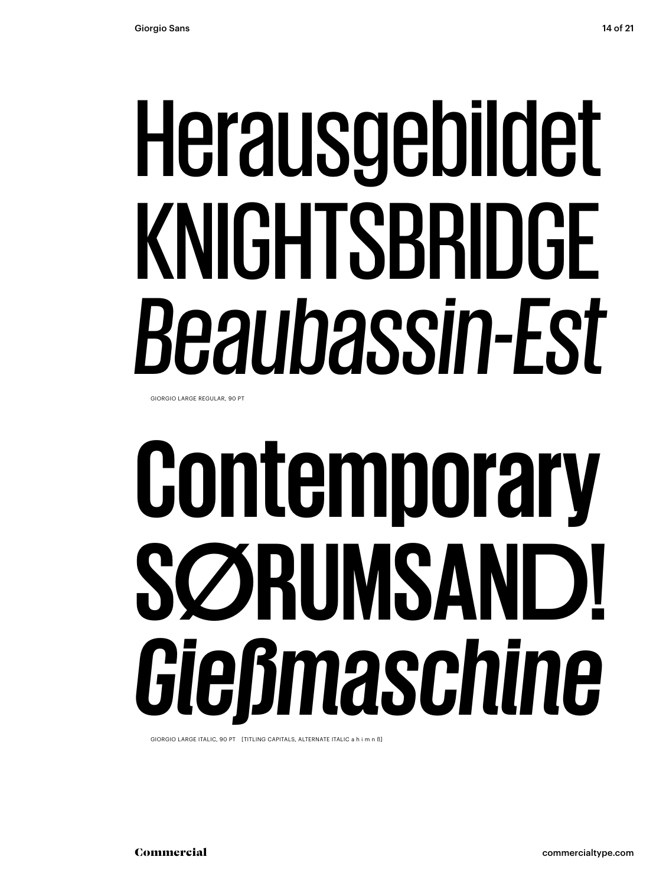## Herausgebildet KNIGHTSBRIDGE *Beaubassin-Est*

GIORGIO LARGE REGULAR, 90 PT

## **Contemporary SØRUMSAND!** *Gießmaschine*

GIORGIO LARGE ITALIC, 90 PT [TITLING CAPITALS, ALTERNATE ITALIC a h i m n ß]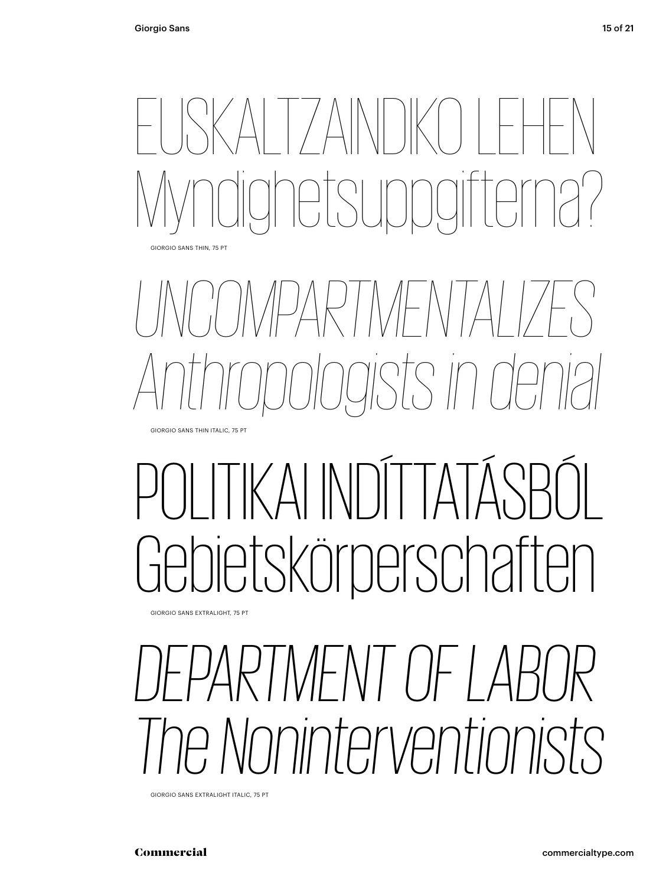

*UNCOMPARTMENTALIZES Anthropologists in denial* GIORGIO SANS THIN ITALIC, 75 PT

### I IKAI INDI I ATASBÓL<br>Ietskörperschaften KAI IN

GIORGIO SANS EXTRALIGHT, 75 PT

#### *PE NOninterventionists GIORGIO SANS EXTRALIGHT ITALIC, 75 PT*<br> **COMMERCIAL**<br> **COMMERCIAL** INENI OF P

GIORGIO SANS EXTRALIGHT ITALIC, 75 PT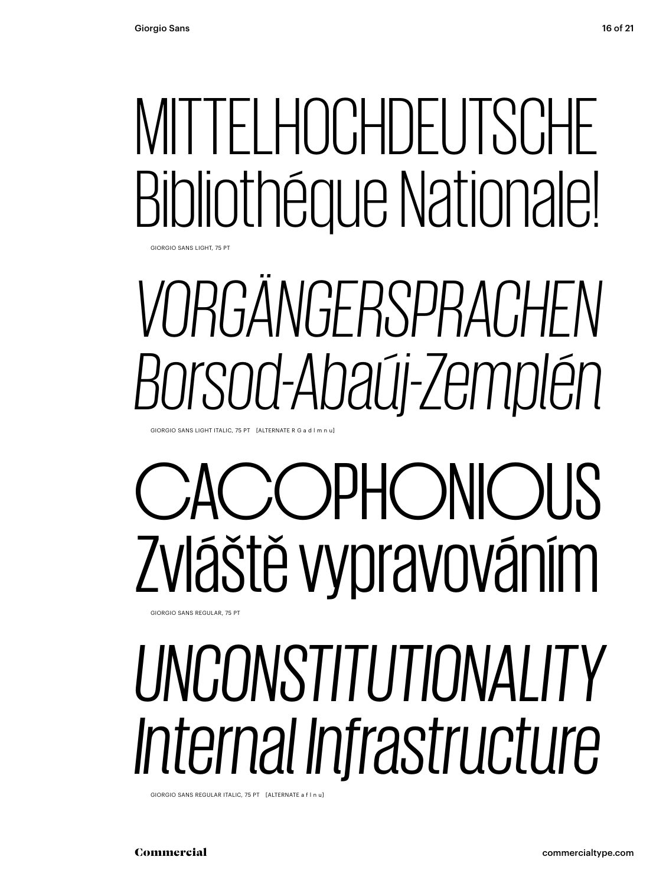### MITTELHOCHDEUTSCHE Bibliothéque Nationale!

GIORGIO SANS LIGHT, 75 PT

### *VORGÄNGERSPRACHEN Borsod-Abaúj-Zemplén*

GIORGIO SANS LIGHT ITALIC, 75 PT [ALTERNATE R G a d l m n u]

#### GIORGIO SANS REGULAR, 75 PT CACOPHONIOUS Zvláště vypravováním

#### *UNCONSTITUTIONALITY Internal Infrastructure*

GIORGIO SANS REGULAR ITALIC, 75 PT [ALTERNATE a f l n u]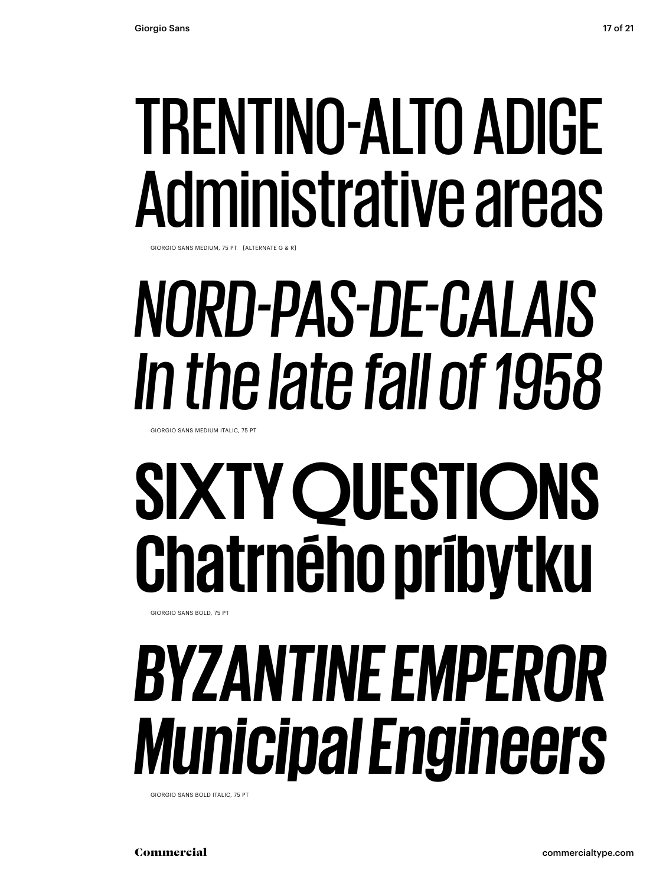#### TRENTINO-ALTO ADIGE Administrative areas

GIORGIO SANS MEDIUM, 75 PT [ALTERNATE G & R]

### *NORD-PAS-DE-CALAIS In the late fall of 1958*

GIORGIO SANS MEDIUM ITALIC, 75 PT

### **SIXTY QUESTIONS Chatrného príbytku**

GIORGIO SANS BOLD, 75 PT

#### *BYZANTINE EMPEROR Municipal Engineers*

GIORGIO SANS BOLD ITALIC, 75 PT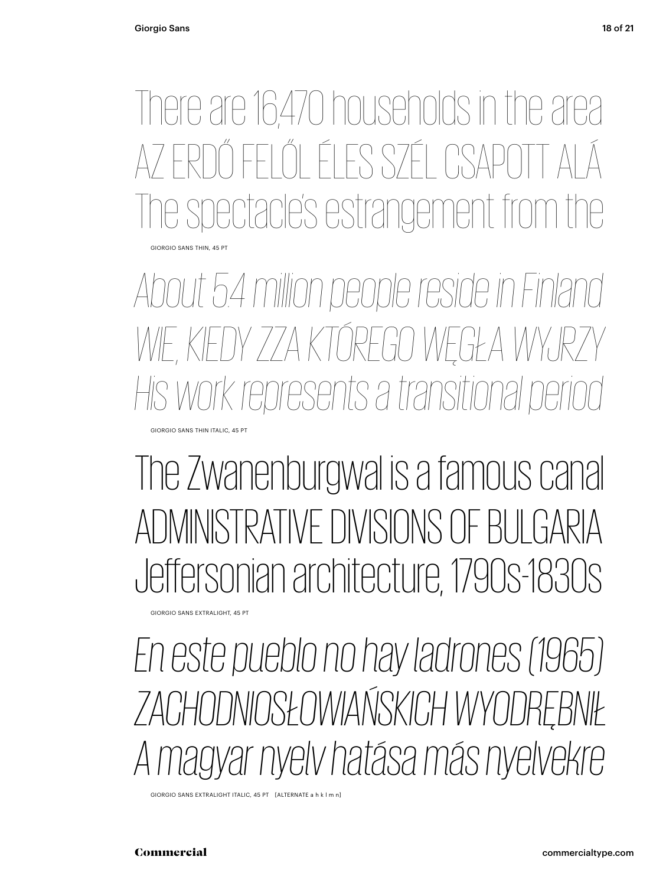There are 16,470 households in the area ŐLÉLES SZÉL CSA e spectacle's estrangement GIORGIO SANS THIN, 45 PT

*About 5.4 million people reside in Finland* WIE KIEDY ZZA KTÓREGO WĘGŁA WYJ *His work represents a transitional period*

The Zwanenburgwal is a famous canal Jeffersonian architecture, 1790s-1830s

GIORGIO SANS EXTRALIGHT, 45 PT

GIORGIO SANS THIN ITALIC, 45 PT

*En este pueblo no hay ladrones (1965) Zachodniosa más nyelvekre A MAGYAR MAGYAR NYELVEKREE A MAGYAR NYELVEKREE A MAGYAR NYELVEKREE A MAGYAR NYELVEKREE A MAGYAR NYELVEKREE A MAGYAR NYELVEKREE A MAGYAR NYELVEKREE A MAGYAR NYELVEKREE A MAGYAR NYELVEKREE A MAGYAR NYELVEKREE A MAGYAR NYEL* En este pueblo no hay ladrones (1965)

GIORGIO SANS EXTRALIGHT ITALIC, 45 PT [ALTERNATE a h k l m n]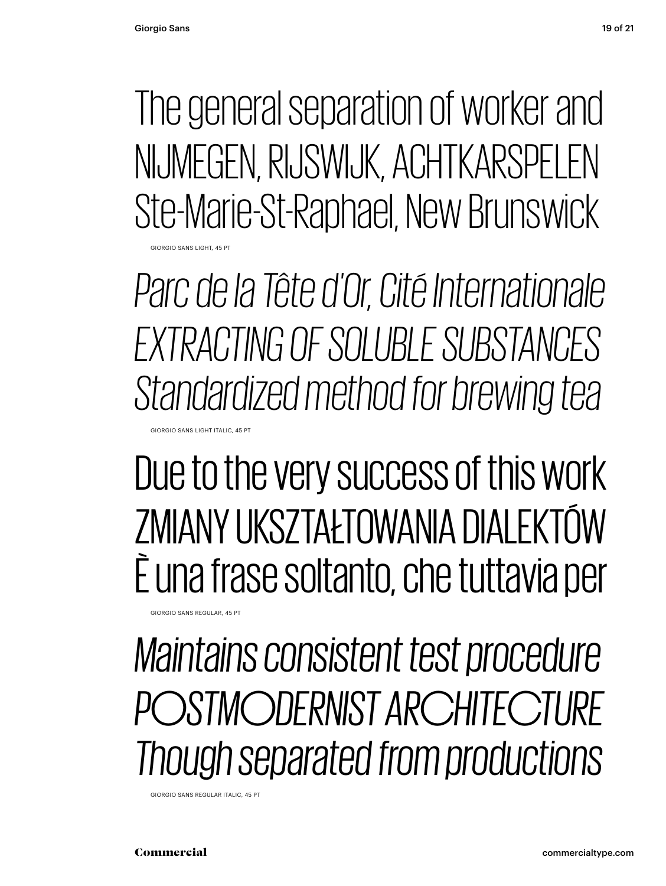**GIORGIO SANS LIGHT, 45 PT** 

The general separation of worker and NIJMEGEN, RIJSWIJK, ACHTKARSPELEN Ste-Marie-St-Raphael, New Brunswick

*Parc de la Tête d'Or, Cité Internationale EXTRACTING OF SOLUBLE SUBSTANCES Standardized method for brewing tea* GIORGIO SANS LIGHT ITALIC, 45 PT

Due to the very success of this work ZMIANY UKSZTAŁTOWANIA DIALEKTÓW È una frase soltanto, che tuttavia per

*Maintains consistent test procedure POSTMODERNIST ARCHITECTURE Though separated from productions*

GIORGIO SANS REGULAR ITALIC, 45 PT

GIORGIO SANS REGULAR, 45 PT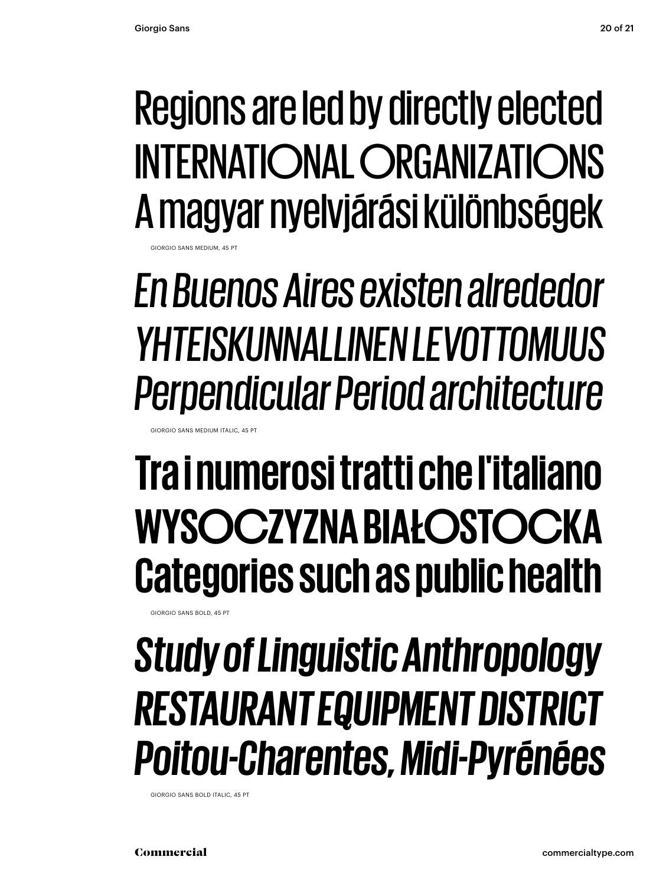#### Regions are led by directly elected INTERNATIONAL ORGANIZATIONS A magyar nyelvjárási különbségek

**GANS MEDIUM** 

*En Buenos Aires existen alrededor YHTEISKUNNALLINEN LEVOTTOMUUS Perpendicular Period architecture*

GIORGIO SANS MEDIUM ITALIC, 45 PT

#### **Tra i numerosi tratti che l'italiano WYSOCZYZNA BIAŁOSTOCKA Categories such as public health**

GIORGIO SANS BOLD, 45 PT

#### *Study of Linguistic Anthropology RESTAURANT EQUIPMENT DISTRICT Poitou-Charentes, Midi-Pyrénées*

GIORGIO SANS BOLD ITALIC, 45 PT